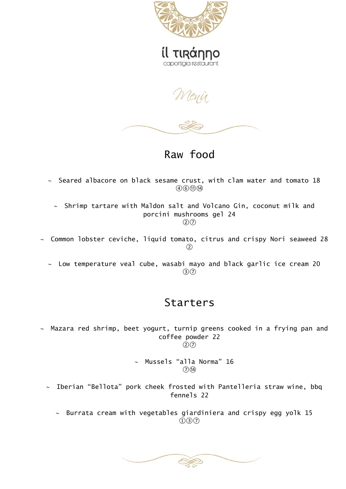

Menir

Raw food

 $\sim$  Seared albacore on black sesame crust, with clam water and tomato 18  $(4)(6)(1)(14)$ 

 $\sim$  Shrimp tartare with Maldon salt and Volcano Gin, coconut milk and porcini mushrooms gel 24 ②⑦

- $\sim$  Common lobster ceviche, liquid tomato, citrus and crispy Nori seaweed 28  $\Omega$ 
	- $\sim$  Low temperature veal cube, wasabi mayo and black garlic ice cream 20 ③⑦

## Starters

 $\sim$  Mazara red shrimp, beet yogurt, turnip greens cooked in a frying pan and coffee powder 22  $(2)(7)$ 

> $\sim$  Mussels "alla Norma" 16  $(7)(14)$

- $\sim$  Iberian "Bellota" pork cheek frosted with Pantelleria straw wine, bbq fennels 22
	- $\sim$  Burrata cream with vegetables giardiniera and crispy egg yolk 15  $(1)(3)(7)$

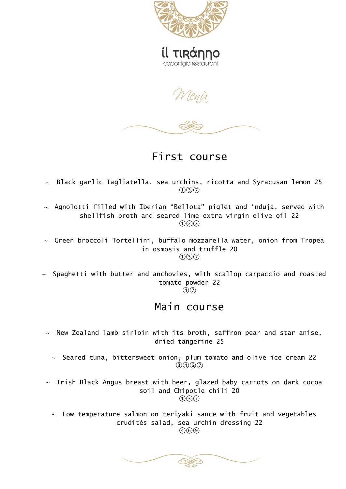

caportigia restaurant

Menir

First course

- Black garlic Tagliatella, sea urchins, ricotta and Syracusan lemon 25  $(1)(3)(7)$
- $\sim$  Agnolotti filled with Iberian "Bellota" piglet and 'nduja, served with shellfish broth and seared lime extra virgin olive oil 22  $(1)(2)(3)$
- $\sim$  Green broccoli Tortellini, buffalo mozzarella water, onion from Tropea in osmosis and truffle 20  $(1)(3)(7)$
- $\sim$  Spaghetti with butter and anchovies, with scallop carpaccio and roasted tomato powder 22

#### $\mathcal{A}(\mathcal{D})$

#### Main course

- $\sim$  New Zealand lamb sirloin with its broth, saffron pear and star anise, dried tangerine 25
	- $\sim$  Seared tuna, bittersweet onion, plum tomato and olive ice cream 22  $(3)(4)(6)(7)$
- $\sim$  Irish Black Angus breast with beer, glazed baby carrots on dark cocoa soil and Chipotle chili 20  $\bigcap$   $\bigcap$   $\bigcap$ 
	- $\sim$  Low temperature salmon on teriyaki sauce with fruit and vegetables crudités salad, sea urchin dressing 22  $(4)(6)(9)$

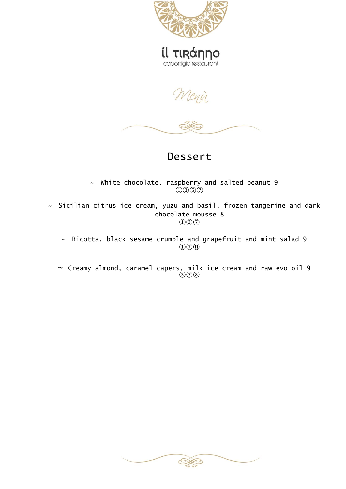



Wenir



### Dessert

 $\sim$  White chocolate, raspberry and salted peanut 9  $(1)(3)(5)(7)$ 

 $\sim$  Sicilian citrus ice cream, yuzu and basil, frozen tangerine and dark chocolate mousse 8  $(1)(3)(7)$ 

 $\sim$  Ricotta, black sesame crumble and grapefruit and mint salad 9 ①⑦⑪

 $\sim$  Creamy almond, caramel capers, milk ice cream and raw evo oil 9 ③⑦⑧

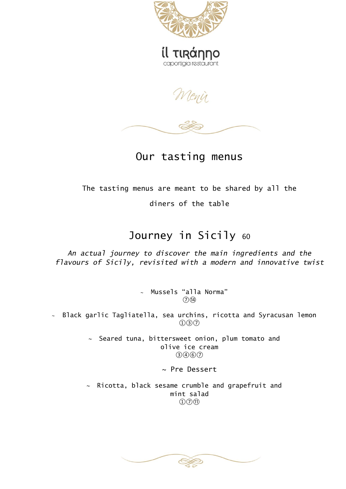

Menir



Our tasting menus

The tasting menus are meant to be shared by all the

diners of the table

# Journey in Sicily 60

*An actual journey to discover the main ingredients and the flavours of Sicily, revisited with a modern and innovative twist*

> Mussels "alla Norma"  $(7)(14)$

 $\sim$  Black garlic Tagliatella, sea urchins, ricotta and Syracusan lemon  $(1)(3)(7)$ 

> $\sim$  Seared tuna, bittersweet onion, plum tomato and olive ice cream  $(3)(4)(6)(7)$

> > ~ Pre Dessert

 $\sim$  Ricotta, black sesame crumble and grapefruit and mint salad  $\mathcal{D}(\mathcal{D})$  $\mathcal{D}(\mathcal{D})$ 

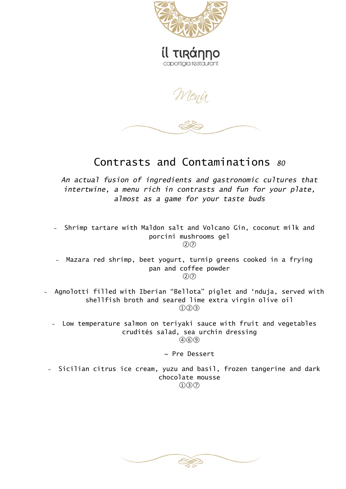

Menir

Contrasts and Contaminations *<sup>80</sup>*

*An actual fusion of ingredients and gastronomic cultures that intertwine, a menu rich in contrasts and fun for your plate, almost as a game for your taste buds*

 $\sim$  Shrimp tartare with Maldon salt and Volcano Gin, coconut milk and porcini mushrooms gel  $(2)(7)$ 

 $\sim$  Mazara red shrimp, beet yogurt, turnip greens cooked in a frying pan and coffee powder  $(2)(7)$ 

 $\sim$  Agnolotti filled with Iberian "Bellota" piglet and 'nduja, served with shellfish broth and seared lime extra virgin olive oil  $(1)(2)(3)$ 

 $\sim$  Low temperature salmon on teriyaki sauce with fruit and vegetables crudités salad, sea urchin dressing  $(4)(6)(9)$ 

~ Pre Dessert

 $\sim$  Sicilian citrus ice cream, yuzu and basil, frozen tangerine and dark chocolate mousse  $(1)(3)(7)$ 

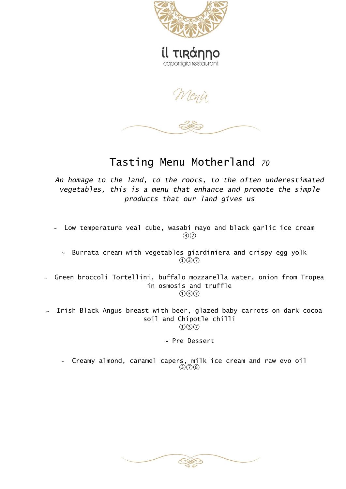

Menir

## Tasting Menu Motherland *<sup>70</sup>*

*An homage to the land, to the roots, to the often underestimated vegetables, this is a menu that enhance and promote the simple products that our land gives us*

 Low temperature veal cube, wasabi mayo and black garlic ice cream  $\odot$ 

 $\sim$  Burrata cream with vegetables giardiniera and crispy egg yolk ①③⑦

- $\sim$  Green broccoli Tortellini, buffalo mozzarella water, onion from Tropea in osmosis and truffle  $\bigcap$   $\bigcap$   $\bigcap$
- $\sim$  Irish Black Angus breast with beer, glazed baby carrots on dark cocoa soil and Chipotle chilli  $\textcircled{1}(3)(7)$

~ Pre Dessert

 $\scriptstyle\mathtt{\sim}$  Creamy almond, caramel capers, milk ice cream and raw evo oil ③⑦⑧